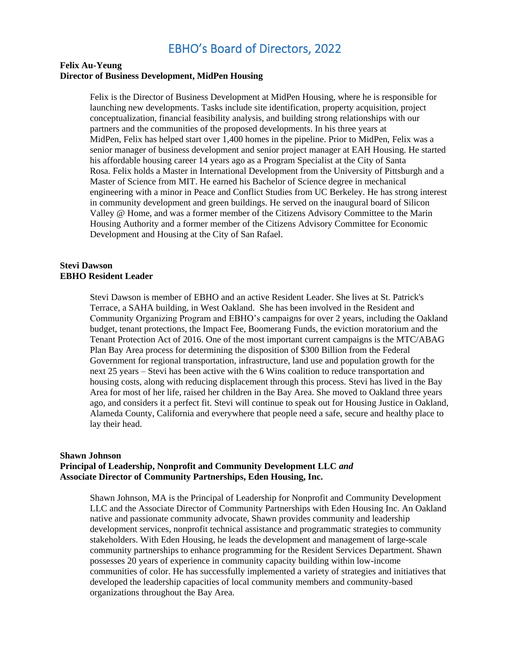#### **Felix Au-Yeung Director of Business Development, MidPen Housing**

Felix is the Director of Business Development at MidPen Housing, where he is responsible for launching new developments. Tasks include site identification, property acquisition, project conceptualization, financial feasibility analysis, and building strong relationships with our partners and the communities of the proposed developments. In his three years at MidPen, Felix has helped start over 1,400 homes in the pipeline. Prior to MidPen, Felix was a senior manager of business development and senior project manager at EAH Housing. He started his affordable housing career 14 years ago as a Program Specialist at the City of Santa Rosa. Felix holds a Master in International Development from the University of Pittsburgh and a Master of Science from MIT. He earned his Bachelor of Science degree in mechanical engineering with a minor in Peace and Conflict Studies from UC Berkeley. He has strong interest in community development and green buildings. He served on the inaugural board of Silicon Valley @ Home, and was a former member of the Citizens Advisory Committee to the Marin Housing Authority and a former member of the Citizens Advisory Committee for Economic Development and Housing at the City of San Rafael.

#### **Stevi Dawson EBHO Resident Leader**

Stevi Dawson is member of EBHO and an active Resident Leader. She lives at St. Patrick's Terrace, a SAHA building, in West Oakland. She has been involved in the Resident and Community Organizing Program and EBHO's campaigns for over 2 years, including the Oakland budget, tenant protections, the Impact Fee, Boomerang Funds, the eviction moratorium and the Tenant Protection Act of 2016. One of the most important current campaigns is the MTC/ABAG Plan Bay Area process for determining the disposition of \$300 Billion from the Federal Government for regional transportation, infrastructure, land use and population growth for the next 25 years – Stevi has been active with the 6 Wins coalition to reduce transportation and housing costs, along with reducing displacement through this process. Stevi has lived in the Bay Area for most of her life, raised her children in the Bay Area. She moved to Oakland three years ago, and considers it a perfect fit. Stevi will continue to speak out for Housing Justice in Oakland, Alameda County, California and everywhere that people need a safe, secure and healthy place to lay their head.

#### **Shawn Johnson Principal of Leadership, Nonprofit and Community Development LLC** *and* **Associate Director of Community Partnerships, Eden Housing, Inc.**

Shawn Johnson, MA is the Principal of Leadership for Nonprofit and Community Development LLC and the Associate Director of Community Partnerships with Eden Housing Inc. An Oakland native and passionate community advocate, Shawn provides community and leadership development services, nonprofit technical assistance and programmatic strategies to community stakeholders. With Eden Housing, he leads the development and management of large-scale community partnerships to enhance programming for the Resident Services Department. Shawn possesses 20 years of experience in community capacity building within low-income communities of color. He has successfully implemented a variety of strategies and initiatives that developed the leadership capacities of local community members and community-based organizations throughout the Bay Area.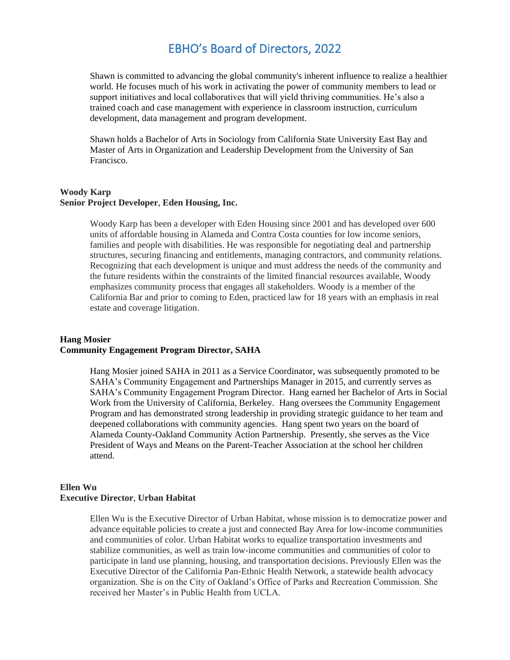Shawn is committed to advancing the global community's inherent influence to realize a healthier world. He focuses much of his work in activating the power of community members to lead or support initiatives and local collaboratives that will yield thriving communities. He's also a trained coach and case management with experience in classroom instruction, curriculum development, data management and program development.

Shawn holds a Bachelor of Arts in Sociology from California State University East Bay and Master of Arts in Organization and Leadership Development from the University of San Francisco.

#### **Woody Karp Senior Project Developer**, **Eden Housing, Inc.**

Woody Karp has been a developer with Eden Housing since 2001 and has developed over 600 units of affordable housing in Alameda and Contra Costa counties for low income seniors, families and people with disabilities. He was responsible for negotiating deal and partnership structures, securing financing and entitlements, managing contractors, and community relations. Recognizing that each development is unique and must address the needs of the community and the future residents within the constraints of the limited financial resources available, Woody emphasizes community process that engages all stakeholders. Woody is a member of the California Bar and prior to coming to Eden, practiced law for 18 years with an emphasis in real estate and coverage litigation.

### **Hang Mosier Community Engagement Program Director, SAHA**

Hang Mosier joined SAHA in 2011 as a Service Coordinator, was subsequently promoted to be SAHA's Community Engagement and Partnerships Manager in 2015, and currently serves as SAHA's Community Engagement Program Director. Hang earned her Bachelor of Arts in Social Work from the University of California, Berkeley. Hang oversees the Community Engagement Program and has demonstrated strong leadership in providing strategic guidance to her team and deepened collaborations with community agencies. Hang spent two years on the board of Alameda County-Oakland Community Action Partnership. Presently, she serves as the Vice President of Ways and Means on the Parent-Teacher Association at the school her children attend.

### **Ellen Wu Executive Director**, **Urban Habitat**

Ellen Wu is the Executive Director of Urban Habitat, whose mission is to democratize power and advance equitable policies to create a just and connected Bay Area for low-income communities and communities of color. Urban Habitat works to equalize transportation investments and stabilize communities, as well as train low-income communities and communities of color to participate in land use planning, housing, and transportation decisions. Previously Ellen was the Executive Director of the California Pan-Ethnic Health Network, a statewide health advocacy organization. She is on the City of Oakland's Office of Parks and Recreation Commission. She received her Master's in Public Health from UCLA.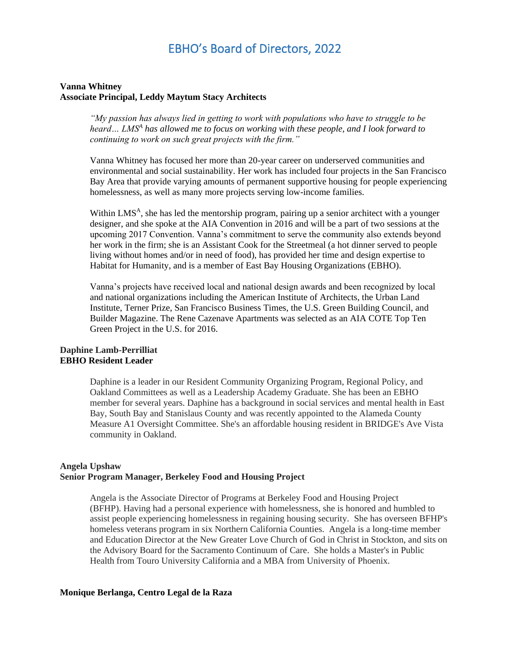#### **Vanna Whitney Associate Principal, Leddy Maytum Stacy Architects**

*"My passion has always lied in getting to work with populations who have to struggle to be heard… LMS<sup>A</sup> has allowed me to focus on working with these people, and I look forward to continuing to work on such great projects with the firm."*

Vanna Whitney has focused her more than 20-year career on underserved communities and environmental and social sustainability. Her work has included four projects in the San Francisco Bay Area that provide varying amounts of permanent supportive housing for people experiencing homelessness, as well as many more projects serving low-income families.

Within LMS<sup>A</sup>, she has led the mentorship program, pairing up a senior architect with a younger designer, and she spoke at the AIA Convention in 2016 and will be a part of two sessions at the upcoming 2017 Convention. Vanna's commitment to serve the community also extends beyond her work in the firm; she is an Assistant Cook for the Streetmeal (a hot dinner served to people living without homes and/or in need of food), has provided her time and design expertise to Habitat for Humanity, and is a member of East Bay Housing Organizations (EBHO).

Vanna's projects have received local and national design awards and been recognized by local and national organizations including the American Institute of Architects, the Urban Land Institute, Terner Prize, San Francisco Business Times, the U.S. Green Building Council, and Builder Magazine. The Rene Cazenave Apartments was selected as an AIA COTE Top Ten Green Project in the U.S. for 2016.

#### **Daphine Lamb-Perrilliat EBHO Resident Leader**

Daphine is a leader in our Resident Community Organizing Program, Regional Policy, and Oakland Committees as well as a Leadership Academy Graduate. She has been an EBHO member for several years. Daphine has a background in social services and mental health in East Bay, South Bay and Stanislaus County and was recently appointed to the Alameda County Measure A1 Oversight Committee. She's an affordable housing resident in BRIDGE's Ave Vista community in Oakland.

#### **Angela Upshaw Senior Program Manager, Berkeley Food and Housing Project**

Angela is the Associate Director of Programs at Berkeley Food and Housing Project (BFHP). Having had a personal experience with homelessness, she is honored and humbled to assist people experiencing homelessness in regaining housing security. She has overseen BFHP's homeless veterans program in six Northern California Counties. Angela is a long-time member and Education Director at the New Greater Love Church of God in Christ in Stockton, and sits on the Advisory Board for the Sacramento Continuum of Care. She holds a Master's in Public Health from Touro University California and a MBA from University of Phoenix.

#### **Monique Berlanga, Centro Legal de la Raza**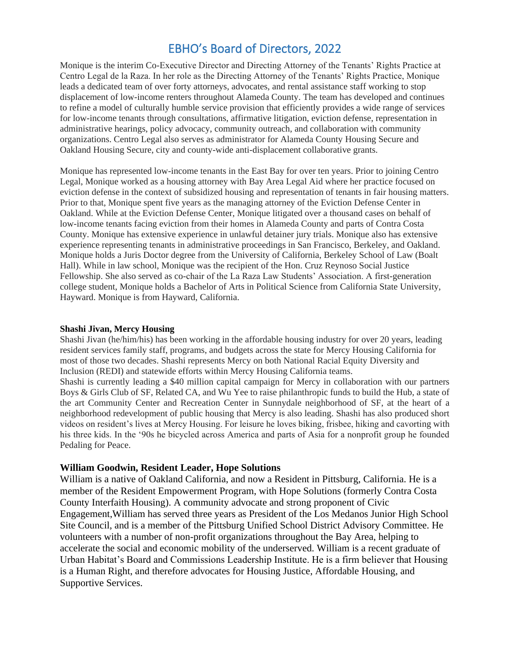Monique is the interim Co-Executive Director and Directing Attorney of the Tenants' Rights Practice at Centro Legal de la Raza. In her role as the Directing Attorney of the Tenants' Rights Practice, Monique leads a dedicated team of over forty attorneys, advocates, and rental assistance staff working to stop displacement of low-income renters throughout Alameda County. The team has developed and continues to refine a model of culturally humble service provision that efficiently provides a wide range of services for low-income tenants through consultations, affirmative litigation, eviction defense, representation in administrative hearings, policy advocacy, community outreach, and collaboration with community organizations. Centro Legal also serves as administrator for Alameda County Housing Secure and Oakland Housing Secure, city and county-wide anti-displacement collaborative grants.

Monique has represented low-income tenants in the East Bay for over ten years. Prior to joining Centro Legal, Monique worked as a housing attorney with Bay Area Legal Aid where her practice focused on eviction defense in the context of subsidized housing and representation of tenants in fair housing matters. Prior to that, Monique spent five years as the managing attorney of the Eviction Defense Center in Oakland. While at the Eviction Defense Center, Monique litigated over a thousand cases on behalf of low-income tenants facing eviction from their homes in Alameda County and parts of Contra Costa County. Monique has extensive experience in unlawful detainer jury trials. Monique also has extensive experience representing tenants in administrative proceedings in San Francisco, Berkeley, and Oakland. Monique holds a Juris Doctor degree from the University of California, Berkeley School of Law (Boalt Hall). While in law school, Monique was the recipient of the Hon. Cruz Reynoso Social Justice Fellowship. She also served as co-chair of the La Raza Law Students' Association. A first-generation college student, Monique holds a Bachelor of Arts in Political Science from California State University, Hayward. Monique is from Hayward, California.

#### **Shashi Jivan, Mercy Housing**

Shashi Jivan (he/him/his) has been working in the affordable housing industry for over 20 years, leading resident services family staff, programs, and budgets across the state for Mercy Housing California for most of those two decades. Shashi represents Mercy on both National Racial Equity Diversity and Inclusion (REDI) and statewide efforts within Mercy Housing California teams. Shashi is currently leading a \$40 million capital campaign for Mercy in collaboration with our partners Boys & Girls Club of SF, Related CA, and Wu Yee to raise philanthropic funds to build the Hub, a state of the art Community Center and Recreation Center in Sunnydale neighborhood of SF, at the heart of a neighborhood redevelopment of public housing that Mercy is also leading. Shashi has also produced short videos on resident's lives at Mercy Housing. For leisure he loves biking, frisbee, hiking and cavorting with his three kids. In the '90s he bicycled across America and parts of Asia for a nonprofit group he founded Pedaling for Peace.

#### **William Goodwin, Resident Leader, Hope Solutions**

William is a native of Oakland California, and now a Resident in Pittsburg, California. He is a member of the Resident Empowerment Program, with Hope Solutions (formerly Contra Costa County Interfaith Housing). A community advocate and strong proponent of Civic Engagement,William has served three years as President of the Los Medanos Junior High School Site Council, and is a member of the Pittsburg Unified School District Advisory Committee. He volunteers with a number of non-profit organizations throughout the Bay Area, helping to accelerate the social and economic mobility of the underserved. William is a recent graduate of Urban Habitat's Board and Commissions Leadership Institute. He is a firm believer that Housing is a Human Right, and therefore advocates for Housing Justice, Affordable Housing, and Supportive Services.